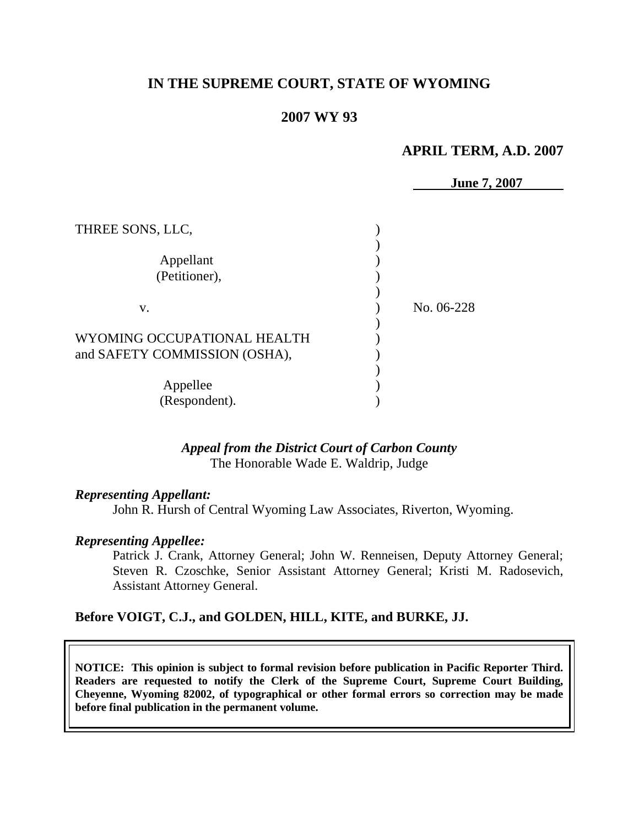# **IN THE SUPREME COURT, STATE OF WYOMING**

# **2007 WY 93**

# **APRIL TERM, A.D. 2007**

|                               | <b>June 7, 2007</b> |
|-------------------------------|---------------------|
|                               |                     |
| THREE SONS, LLC,              |                     |
|                               |                     |
| Appellant                     |                     |
| (Petitioner),                 |                     |
|                               |                     |
| V.                            | No. 06-228          |
|                               |                     |
| WYOMING OCCUPATIONAL HEALTH   |                     |
| and SAFETY COMMISSION (OSHA), |                     |
|                               |                     |
| Appellee                      |                     |
| (Respondent).                 |                     |

# *Appeal from the District Court of Carbon County* The Honorable Wade E. Waldrip, Judge

#### *Representing Appellant:*

John R. Hursh of Central Wyoming Law Associates, Riverton, Wyoming.

#### *Representing Appellee:*

Patrick J. Crank, Attorney General; John W. Renneisen, Deputy Attorney General; Steven R. Czoschke, Senior Assistant Attorney General; Kristi M. Radosevich, Assistant Attorney General.

# **Before VOIGT, C.J., and GOLDEN, HILL, KITE, and BURKE, JJ.**

**NOTICE: This opinion is subject to formal revision before publication in Pacific Reporter Third. Readers are requested to notify the Clerk of the Supreme Court, Supreme Court Building, Cheyenne, Wyoming 82002, of typographical or other formal errors so correction may be made before final publication in the permanent volume.**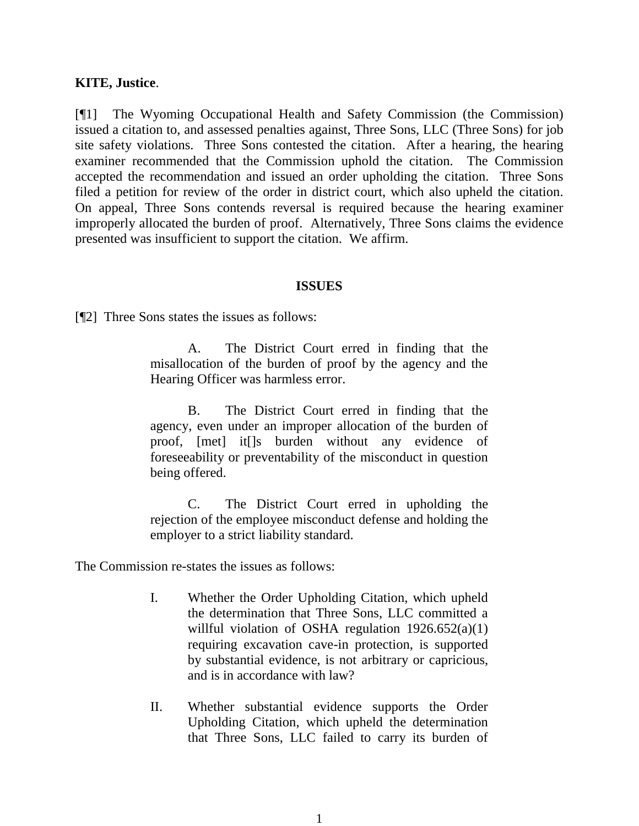#### **KITE, Justice**.

[¶1] The Wyoming Occupational Health and Safety Commission (the Commission) issued a citation to, and assessed penalties against, Three Sons, LLC (Three Sons) for job site safety violations. Three Sons contested the citation. After a hearing, the hearing examiner recommended that the Commission uphold the citation. The Commission accepted the recommendation and issued an order upholding the citation. Three Sons filed a petition for review of the order in district court, which also upheld the citation. On appeal, Three Sons contends reversal is required because the hearing examiner improperly allocated the burden of proof. Alternatively, Three Sons claims the evidence presented was insufficient to support the citation. We affirm.

#### **ISSUES**

[¶2] Three Sons states the issues as follows:

A. The District Court erred in finding that the misallocation of the burden of proof by the agency and the Hearing Officer was harmless error.

B. The District Court erred in finding that the agency, even under an improper allocation of the burden of proof, [met] it[]s burden without any evidence of foreseeability or preventability of the misconduct in question being offered.

C. The District Court erred in upholding the rejection of the employee misconduct defense and holding the employer to a strict liability standard.

The Commission re-states the issues as follows:

- I. Whether the Order Upholding Citation, which upheld the determination that Three Sons, LLC committed a willful violation of OSHA regulation  $1926.652(a)(1)$ requiring excavation cave-in protection, is supported by substantial evidence, is not arbitrary or capricious, and is in accordance with law?
- II. Whether substantial evidence supports the Order Upholding Citation, which upheld the determination that Three Sons, LLC failed to carry its burden of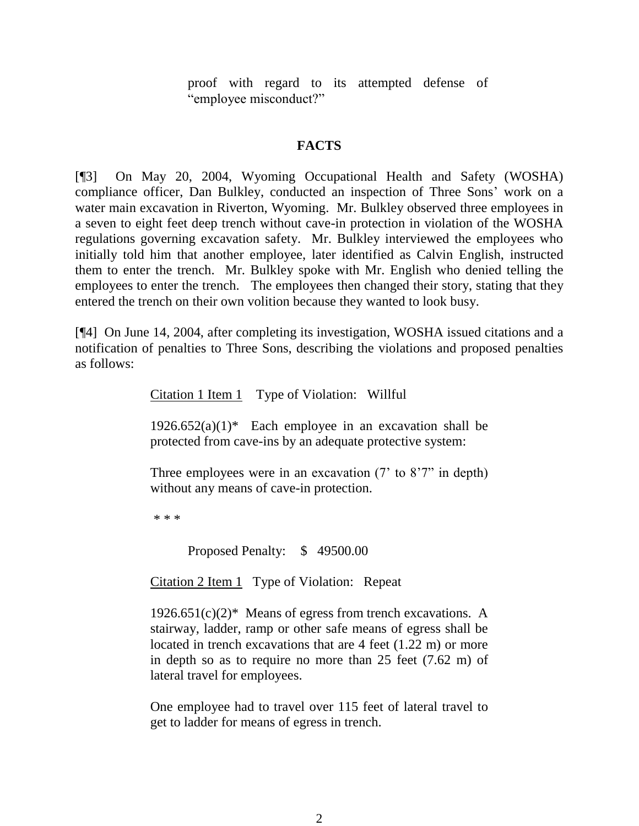proof with regard to its attempted defense of "employee misconduct?"

#### **FACTS**

[¶3] On May 20, 2004, Wyoming Occupational Health and Safety (WOSHA) compliance officer, Dan Bulkley, conducted an inspection of Three Sons' work on a water main excavation in Riverton, Wyoming. Mr. Bulkley observed three employees in a seven to eight feet deep trench without cave-in protection in violation of the WOSHA regulations governing excavation safety. Mr. Bulkley interviewed the employees who initially told him that another employee, later identified as Calvin English, instructed them to enter the trench. Mr. Bulkley spoke with Mr. English who denied telling the employees to enter the trench. The employees then changed their story, stating that they entered the trench on their own volition because they wanted to look busy.

[¶4] On June 14, 2004, after completing its investigation, WOSHA issued citations and a notification of penalties to Three Sons, describing the violations and proposed penalties as follows:

Citation 1 Item 1 Type of Violation: Willful

 $1926.652(a)(1)^*$  Each employee in an excavation shall be protected from cave-ins by an adequate protective system:

Three employees were in an excavation (7' to 8'7" in depth) without any means of cave-in protection.

\* \* \*

Proposed Penalty: \$ 49500.00

Citation 2 Item 1 Type of Violation: Repeat

 $1926.651(c)(2)^*$  Means of egress from trench excavations. A stairway, ladder, ramp or other safe means of egress shall be located in trench excavations that are 4 feet (1.22 m) or more in depth so as to require no more than 25 feet (7.62 m) of lateral travel for employees.

One employee had to travel over 115 feet of lateral travel to get to ladder for means of egress in trench.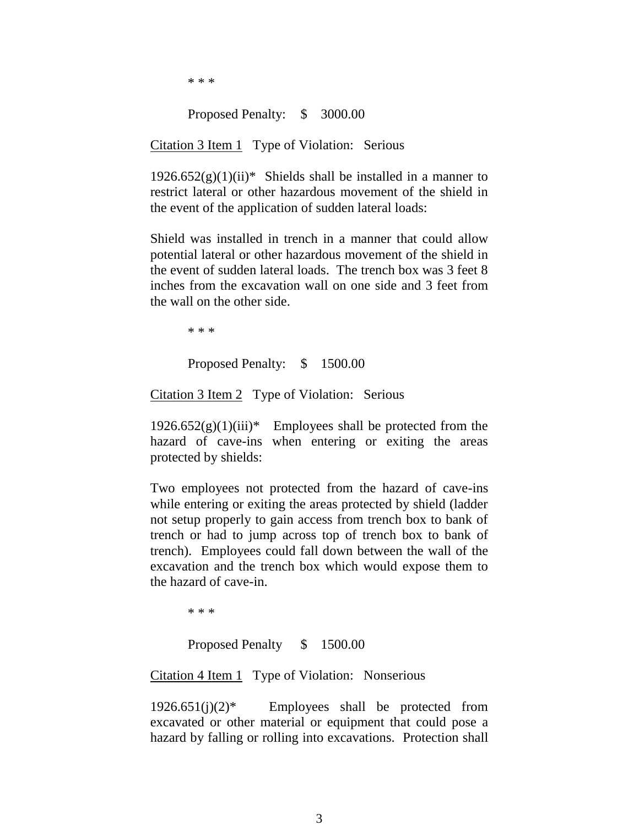\* \* \*

#### Proposed Penalty: \$ 3000.00

#### Citation 3 Item 1 Type of Violation: Serious

 $1926.652(g)(1)(ii)*$  Shields shall be installed in a manner to restrict lateral or other hazardous movement of the shield in the event of the application of sudden lateral loads:

Shield was installed in trench in a manner that could allow potential lateral or other hazardous movement of the shield in the event of sudden lateral loads. The trench box was 3 feet 8 inches from the excavation wall on one side and 3 feet from the wall on the other side.

\* \* \*

Proposed Penalty: \$ 1500.00

Citation 3 Item 2 Type of Violation: Serious

 $1926.652(g)(1)(iii)*$  Employees shall be protected from the hazard of cave-ins when entering or exiting the areas protected by shields:

Two employees not protected from the hazard of cave-ins while entering or exiting the areas protected by shield (ladder not setup properly to gain access from trench box to bank of trench or had to jump across top of trench box to bank of trench). Employees could fall down between the wall of the excavation and the trench box which would expose them to the hazard of cave-in.

\* \* \*

Proposed Penalty \$ 1500.00

Citation 4 Item 1 Type of Violation: Nonserious

 $1926.651(j)(2)*$  Employees shall be protected from excavated or other material or equipment that could pose a hazard by falling or rolling into excavations. Protection shall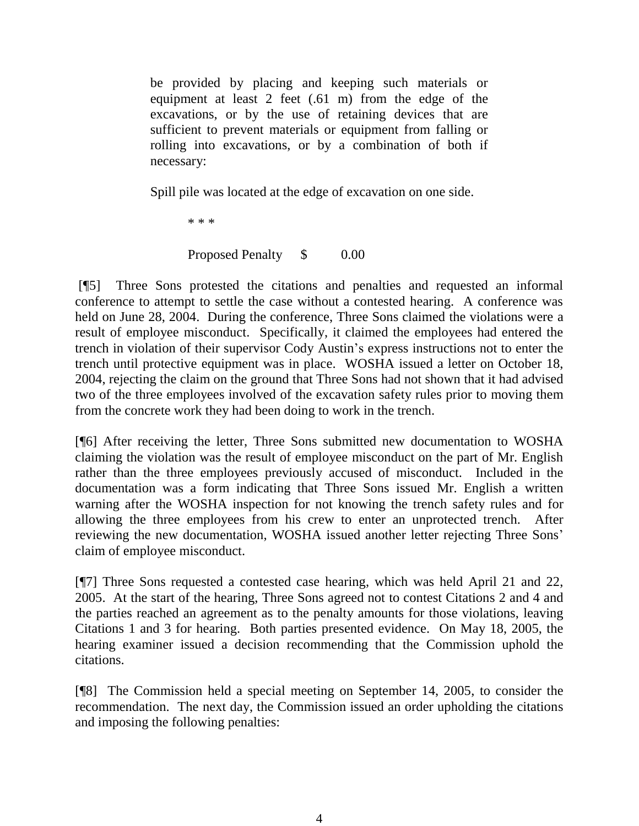be provided by placing and keeping such materials or equipment at least 2 feet (.61 m) from the edge of the excavations, or by the use of retaining devices that are sufficient to prevent materials or equipment from falling or rolling into excavations, or by a combination of both if necessary:

Spill pile was located at the edge of excavation on one side.

\* \* \*

### Proposed Penalty \$ 0.00

[¶5] Three Sons protested the citations and penalties and requested an informal conference to attempt to settle the case without a contested hearing. A conference was held on June 28, 2004. During the conference, Three Sons claimed the violations were a result of employee misconduct. Specifically, it claimed the employees had entered the trench in violation of their supervisor Cody Austin's express instructions not to enter the trench until protective equipment was in place. WOSHA issued a letter on October 18, 2004, rejecting the claim on the ground that Three Sons had not shown that it had advised two of the three employees involved of the excavation safety rules prior to moving them from the concrete work they had been doing to work in the trench.

[¶6] After receiving the letter, Three Sons submitted new documentation to WOSHA claiming the violation was the result of employee misconduct on the part of Mr. English rather than the three employees previously accused of misconduct. Included in the documentation was a form indicating that Three Sons issued Mr. English a written warning after the WOSHA inspection for not knowing the trench safety rules and for allowing the three employees from his crew to enter an unprotected trench. After reviewing the new documentation, WOSHA issued another letter rejecting Three Sons' claim of employee misconduct.

[¶7] Three Sons requested a contested case hearing, which was held April 21 and 22, 2005. At the start of the hearing, Three Sons agreed not to contest Citations 2 and 4 and the parties reached an agreement as to the penalty amounts for those violations, leaving Citations 1 and 3 for hearing. Both parties presented evidence. On May 18, 2005, the hearing examiner issued a decision recommending that the Commission uphold the citations.

[¶8] The Commission held a special meeting on September 14, 2005, to consider the recommendation. The next day, the Commission issued an order upholding the citations and imposing the following penalties: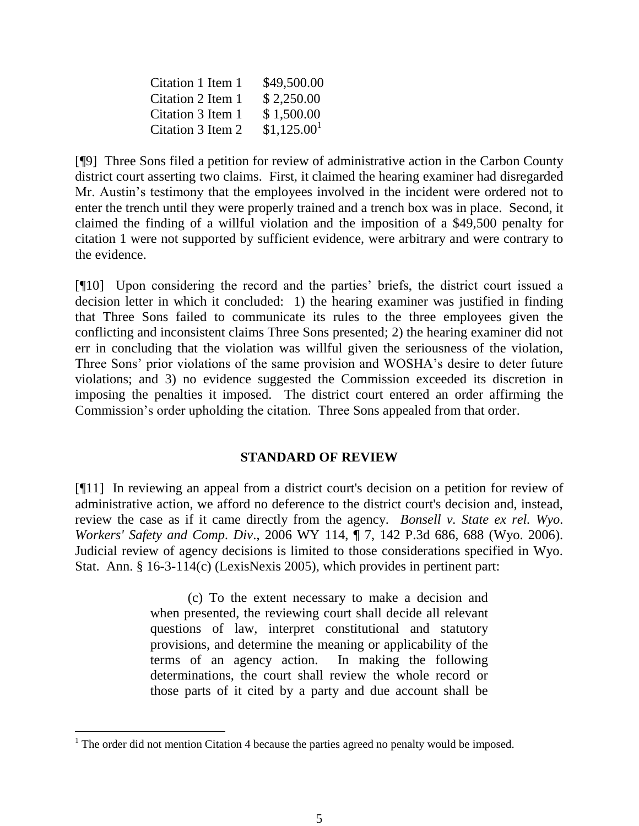| Citation 1 Item 1 | \$49,500.00             |
|-------------------|-------------------------|
| Citation 2 Item 1 | \$2,250.00              |
| Citation 3 Item 1 | \$1,500.00              |
| Citation 3 Item 2 | \$1,125.00 <sup>1</sup> |

[¶9] Three Sons filed a petition for review of administrative action in the Carbon County district court asserting two claims. First, it claimed the hearing examiner had disregarded Mr. Austin's testimony that the employees involved in the incident were ordered not to enter the trench until they were properly trained and a trench box was in place. Second, it claimed the finding of a willful violation and the imposition of a \$49,500 penalty for citation 1 were not supported by sufficient evidence, were arbitrary and were contrary to the evidence.

[¶10] Upon considering the record and the parties' briefs, the district court issued a decision letter in which it concluded: 1) the hearing examiner was justified in finding that Three Sons failed to communicate its rules to the three employees given the conflicting and inconsistent claims Three Sons presented; 2) the hearing examiner did not err in concluding that the violation was willful given the seriousness of the violation, Three Sons' prior violations of the same provision and WOSHA's desire to deter future violations; and 3) no evidence suggested the Commission exceeded its discretion in imposing the penalties it imposed. The district court entered an order affirming the Commission's order upholding the citation. Three Sons appealed from that order.

#### **STANDARD OF REVIEW**

[¶11] In reviewing an appeal from a district court's decision on a petition for review of administrative action, we afford no deference to the district court's decision and, instead, review the case as if it came directly from the agency. *Bonsell v. State ex rel. Wyo. Workers' Safety and Comp. Div*., 2006 WY 114, ¶ 7, 142 P.3d 686, 688 (Wyo. 2006). Judicial review of agency decisions is limited to those considerations specified in Wyo. Stat. Ann. § 16-3-114(c) (LexisNexis 2005), which provides in pertinent part:

> (c) To the extent necessary to make a decision and when presented, the reviewing court shall decide all relevant questions of law, interpret constitutional and statutory provisions, and determine the meaning or applicability of the terms of an agency action. In making the following determinations, the court shall review the whole record or those parts of it cited by a party and due account shall be

 $<sup>1</sup>$  The order did not mention Citation 4 because the parties agreed no penalty would be imposed.</sup>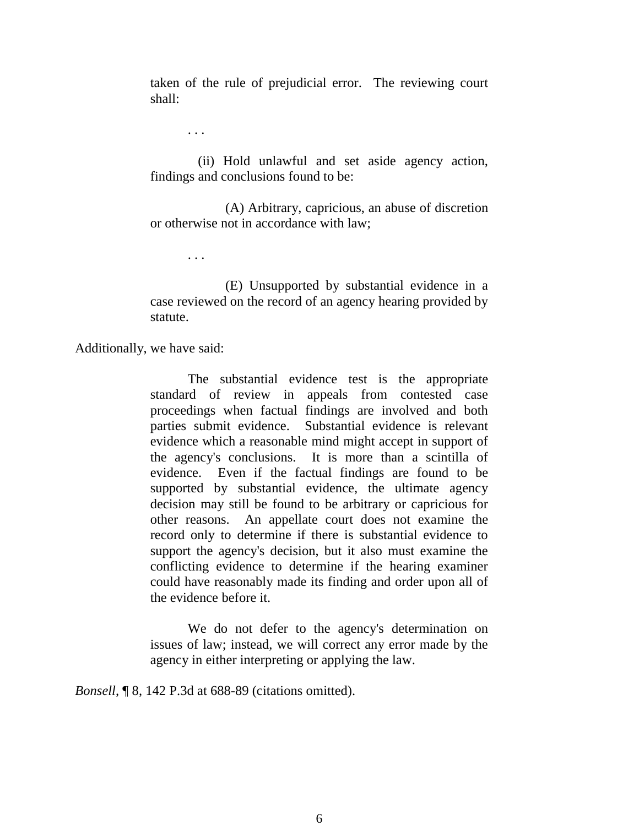taken of the rule of prejudicial error. The reviewing court shall:

. . .

 (ii) Hold unlawful and set aside agency action, findings and conclusions found to be:

(A) Arbitrary, capricious, an abuse of discretion or otherwise not in accordance with law;

. . .

(E) Unsupported by substantial evidence in a case reviewed on the record of an agency hearing provided by statute.

Additionally, we have said:

The substantial evidence test is the appropriate standard of review in appeals from contested case proceedings when factual findings are involved and both parties submit evidence. Substantial evidence is relevant evidence which a reasonable mind might accept in support of the agency's conclusions. It is more than a scintilla of evidence. Even if the factual findings are found to be supported by substantial evidence, the ultimate agency decision may still be found to be arbitrary or capricious for other reasons. An appellate court does not examine the record only to determine if there is substantial evidence to support the agency's decision, but it also must examine the conflicting evidence to determine if the hearing examiner could have reasonably made its finding and order upon all of the evidence before it.

We do not defer to the agency's determination on issues of law; instead, we will correct any error made by the agency in either interpreting or applying the law.

*Bonsell*, ¶ 8, 142 P.3d at 688-89 (citations omitted).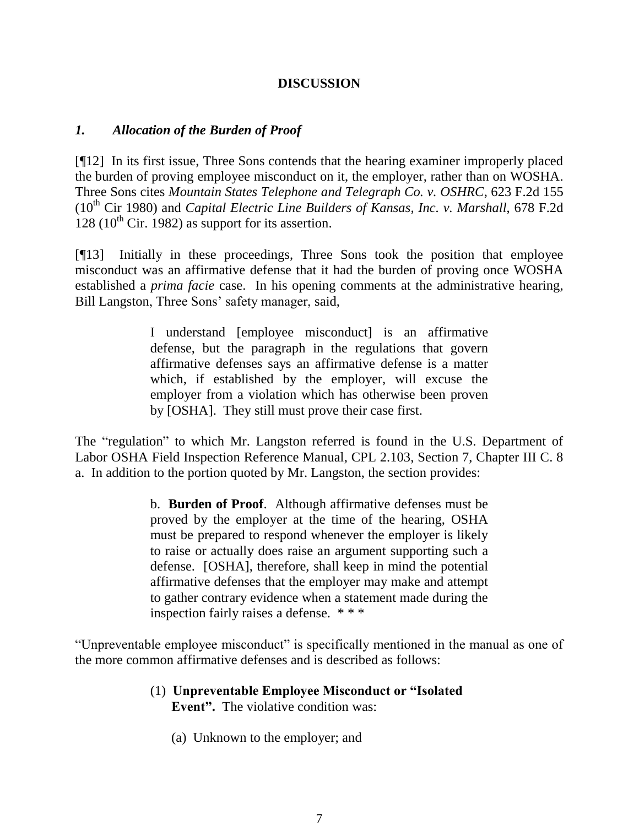# **DISCUSSION**

### *1. Allocation of the Burden of Proof*

[¶12] In its first issue, Three Sons contends that the hearing examiner improperly placed the burden of proving employee misconduct on it, the employer, rather than on WOSHA. Three Sons cites *Mountain States Telephone and Telegraph Co. v. OSHRC*, 623 F.2d 155 (10<sup>th</sup> Cir 1980) and *Capital Electric Line Builders of Kansas, Inc. v. Marshall, 678 F.2d*  $128$  (10<sup>th</sup> Cir. 1982) as support for its assertion.

[¶13] Initially in these proceedings, Three Sons took the position that employee misconduct was an affirmative defense that it had the burden of proving once WOSHA established a *prima facie* case. In his opening comments at the administrative hearing, Bill Langston, Three Sons' safety manager, said,

> I understand [employee misconduct] is an affirmative defense, but the paragraph in the regulations that govern affirmative defenses says an affirmative defense is a matter which, if established by the employer, will excuse the employer from a violation which has otherwise been proven by [OSHA]. They still must prove their case first.

The "regulation" to which Mr. Langston referred is found in the U.S. Department of Labor OSHA Field Inspection Reference Manual, CPL 2.103, Section 7, Chapter III C. 8 a. In addition to the portion quoted by Mr. Langston, the section provides:

> b. **Burden of Proof**. Although affirmative defenses must be proved by the employer at the time of the hearing, OSHA must be prepared to respond whenever the employer is likely to raise or actually does raise an argument supporting such a defense. [OSHA], therefore, shall keep in mind the potential affirmative defenses that the employer may make and attempt to gather contrary evidence when a statement made during the inspection fairly raises a defense. \* \* \*

"Unpreventable employee misconduct" is specifically mentioned in the manual as one of the more common affirmative defenses and is described as follows:

- (1) **Unpreventable Employee Misconduct or "Isolated Event".** The violative condition was:
	- (a) Unknown to the employer; and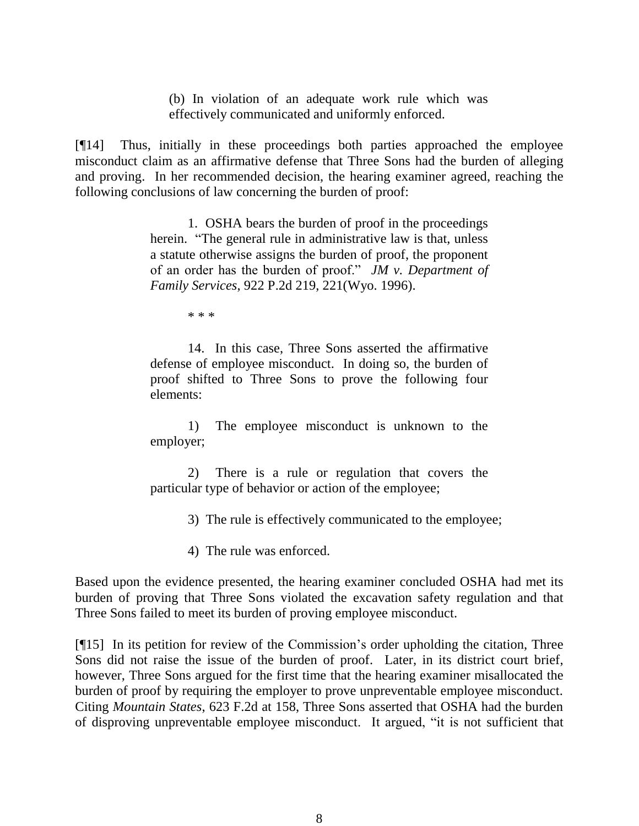(b) In violation of an adequate work rule which was effectively communicated and uniformly enforced.

[¶14] Thus, initially in these proceedings both parties approached the employee misconduct claim as an affirmative defense that Three Sons had the burden of alleging and proving. In her recommended decision, the hearing examiner agreed, reaching the following conclusions of law concerning the burden of proof:

> 1. OSHA bears the burden of proof in the proceedings herein. "The general rule in administrative law is that, unless a statute otherwise assigns the burden of proof, the proponent of an order has the burden of proof." *JM v. Department of Family Services*, 922 P.2d 219, 221(Wyo. 1996).

> > \* \* \*

14. In this case, Three Sons asserted the affirmative defense of employee misconduct. In doing so, the burden of proof shifted to Three Sons to prove the following four elements:

1) The employee misconduct is unknown to the employer;

2) There is a rule or regulation that covers the particular type of behavior or action of the employee;

3) The rule is effectively communicated to the employee;

4) The rule was enforced.

Based upon the evidence presented, the hearing examiner concluded OSHA had met its burden of proving that Three Sons violated the excavation safety regulation and that Three Sons failed to meet its burden of proving employee misconduct.

[¶15] In its petition for review of the Commission's order upholding the citation, Three Sons did not raise the issue of the burden of proof. Later, in its district court brief, however, Three Sons argued for the first time that the hearing examiner misallocated the burden of proof by requiring the employer to prove unpreventable employee misconduct. Citing *Mountain States*, 623 F.2d at 158, Three Sons asserted that OSHA had the burden of disproving unpreventable employee misconduct. It argued, "it is not sufficient that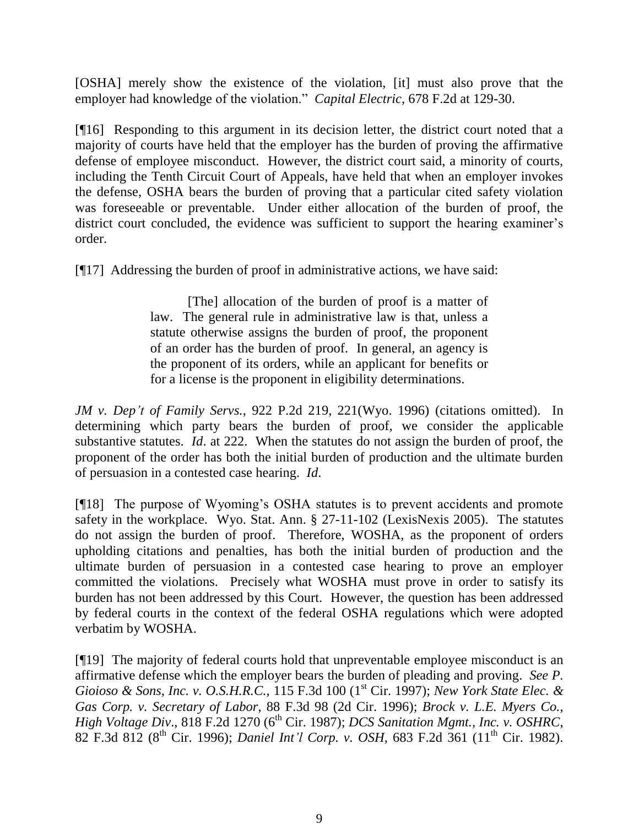[OSHA] merely show the existence of the violation, [it] must also prove that the employer had knowledge of the violation." *Capital Electric*, 678 F.2d at 129-30.

[¶16] Responding to this argument in its decision letter, the district court noted that a majority of courts have held that the employer has the burden of proving the affirmative defense of employee misconduct. However, the district court said, a minority of courts, including the Tenth Circuit Court of Appeals, have held that when an employer invokes the defense, OSHA bears the burden of proving that a particular cited safety violation was foreseeable or preventable. Under either allocation of the burden of proof, the district court concluded, the evidence was sufficient to support the hearing examiner's order.

[¶17] Addressing the burden of proof in administrative actions, we have said:

[The] allocation of the burden of proof is a matter of law. The general rule in administrative law is that, unless a statute otherwise assigns the burden of proof, the proponent of an order has the burden of proof. In general, an agency is the proponent of its orders, while an applicant for benefits or for a license is the proponent in eligibility determinations.

*JM v. Dep't of Family Servs.*, 922 P.2d 219, 221(Wyo. 1996) (citations omitted). In determining which party bears the burden of proof, we consider the applicable substantive statutes. *Id*. at 222. When the statutes do not assign the burden of proof, the proponent of the order has both the initial burden of production and the ultimate burden of persuasion in a contested case hearing. *Id*.

[¶18] The purpose of Wyoming's OSHA statutes is to prevent accidents and promote safety in the workplace. Wyo. Stat. Ann. § 27-11-102 (LexisNexis 2005). The statutes do not assign the burden of proof. Therefore, WOSHA, as the proponent of orders upholding citations and penalties, has both the initial burden of production and the ultimate burden of persuasion in a contested case hearing to prove an employer committed the violations. Precisely what WOSHA must prove in order to satisfy its burden has not been addressed by this Court. However, the question has been addressed by federal courts in the context of the federal OSHA regulations which were adopted verbatim by WOSHA.

[¶19] The majority of federal courts hold that unpreventable employee misconduct is an affirmative defense which the employer bears the burden of pleading and proving. *See P. Gioioso & Sons, Inc. v. O.S.H.R.C.,* 115 F.3d 100 (1st Cir. 1997); *New York State Elec. & Gas Corp. v. Secretary of Labor*, 88 F.3d 98 (2d Cir. 1996); *Brock v. L.E. Myers Co., High Voltage Div.*, 818 F.2d 1270 (6<sup>th</sup> Cir. 1987); *DCS Sanitation Mgmt., Inc. v. OSHRC*, 82 F.3d 812 (8th Cir. 1996); *Daniel Int'l Corp. v. OSH*, 683 F.2d 361 (11th Cir. 1982).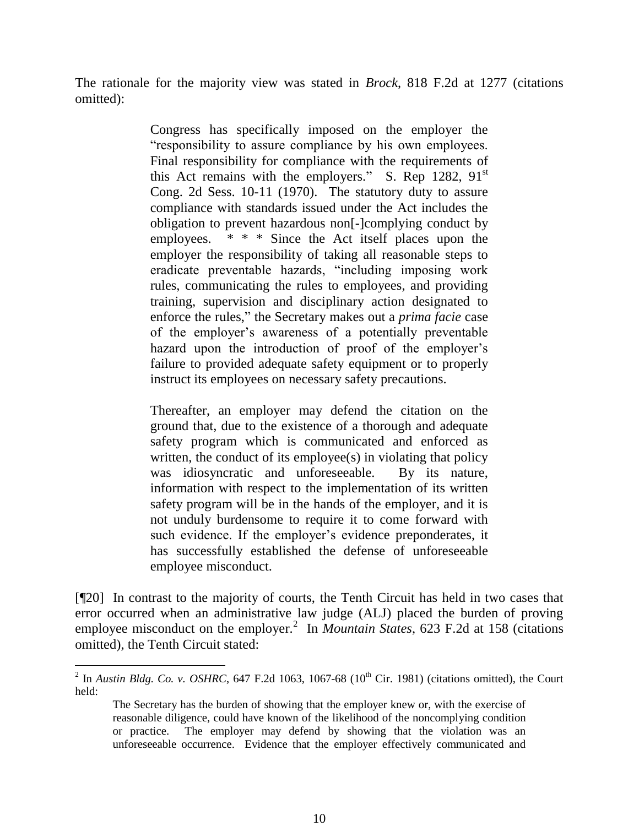The rationale for the majority view was stated in *Brock*, 818 F.2d at 1277 (citations omitted):

> Congress has specifically imposed on the employer the "responsibility to assure compliance by his own employees. Final responsibility for compliance with the requirements of this Act remains with the employers." S. Rep 1282,  $91<sup>st</sup>$ Cong. 2d Sess. 10-11 (1970). The statutory duty to assure compliance with standards issued under the Act includes the obligation to prevent hazardous non[-]complying conduct by employees.  $* * *$  Since the Act itself places upon the employer the responsibility of taking all reasonable steps to eradicate preventable hazards, "including imposing work rules, communicating the rules to employees, and providing training, supervision and disciplinary action designated to enforce the rules," the Secretary makes out a *prima facie* case of the employer's awareness of a potentially preventable hazard upon the introduction of proof of the employer's failure to provided adequate safety equipment or to properly instruct its employees on necessary safety precautions.

> Thereafter, an employer may defend the citation on the ground that, due to the existence of a thorough and adequate safety program which is communicated and enforced as written, the conduct of its employee(s) in violating that policy was idiosyncratic and unforeseeable. By its nature, information with respect to the implementation of its written safety program will be in the hands of the employer, and it is not unduly burdensome to require it to come forward with such evidence. If the employer's evidence preponderates, it has successfully established the defense of unforeseeable employee misconduct.

[¶20] In contrast to the majority of courts, the Tenth Circuit has held in two cases that error occurred when an administrative law judge (ALJ) placed the burden of proving employee misconduct on the employer.<sup>2</sup> In *Mountain States*, 623 F.2d at 158 (citations omitted), the Tenth Circuit stated:

 $\overline{a}$ 

<sup>&</sup>lt;sup>2</sup> In *Austin Bldg. Co. v. OSHRC*, 647 F.2d 1063, 1067-68 (10<sup>th</sup> Cir. 1981) (citations omitted), the Court held:

The Secretary has the burden of showing that the employer knew or, with the exercise of reasonable diligence, could have known of the likelihood of the noncomplying condition or practice. The employer may defend by showing that the violation was an unforeseeable occurrence. Evidence that the employer effectively communicated and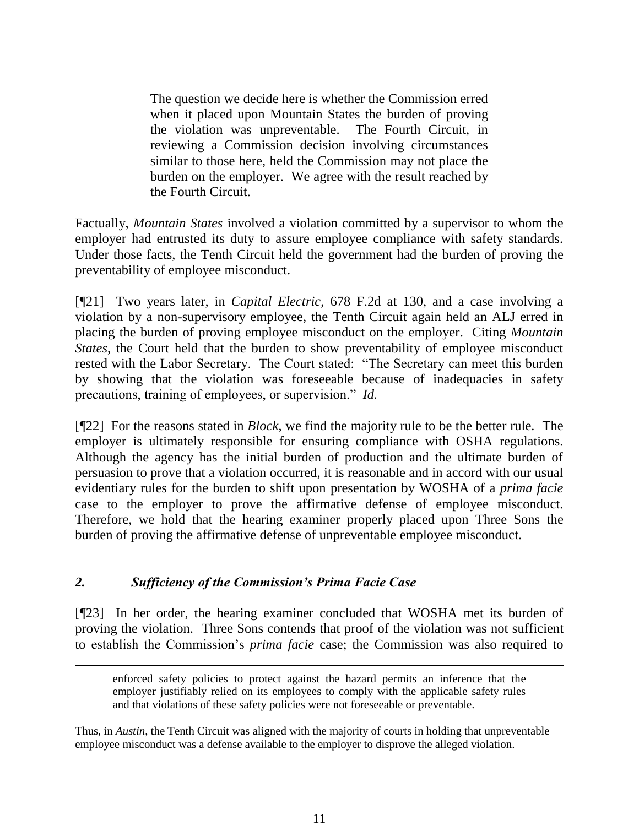The question we decide here is whether the Commission erred when it placed upon Mountain States the burden of proving the violation was unpreventable. The Fourth Circuit, in reviewing a Commission decision involving circumstances similar to those here, held the Commission may not place the burden on the employer. We agree with the result reached by the Fourth Circuit.

Factually, *Mountain States* involved a violation committed by a supervisor to whom the employer had entrusted its duty to assure employee compliance with safety standards. Under those facts, the Tenth Circuit held the government had the burden of proving the preventability of employee misconduct.

[¶21] Two years later, in *Capital Electric*, 678 F.2d at 130, and a case involving a violation by a non-supervisory employee, the Tenth Circuit again held an ALJ erred in placing the burden of proving employee misconduct on the employer. Citing *Mountain States*, the Court held that the burden to show preventability of employee misconduct rested with the Labor Secretary. The Court stated: "The Secretary can meet this burden by showing that the violation was foreseeable because of inadequacies in safety precautions, training of employees, or supervision." *Id.*

[¶22] For the reasons stated in *Block*, we find the majority rule to be the better rule. The employer is ultimately responsible for ensuring compliance with OSHA regulations. Although the agency has the initial burden of production and the ultimate burden of persuasion to prove that a violation occurred, it is reasonable and in accord with our usual evidentiary rules for the burden to shift upon presentation by WOSHA of a *prima facie* case to the employer to prove the affirmative defense of employee misconduct. Therefore, we hold that the hearing examiner properly placed upon Three Sons the burden of proving the affirmative defense of unpreventable employee misconduct.

# *2. Sufficiency of the Commission's Prima Facie Case*

 $\overline{a}$ 

[¶23] In her order, the hearing examiner concluded that WOSHA met its burden of proving the violation. Three Sons contends that proof of the violation was not sufficient to establish the Commission's *prima facie* case; the Commission was also required to

enforced safety policies to protect against the hazard permits an inference that the employer justifiably relied on its employees to comply with the applicable safety rules and that violations of these safety policies were not foreseeable or preventable.

Thus, in *Austin*, the Tenth Circuit was aligned with the majority of courts in holding that unpreventable employee misconduct was a defense available to the employer to disprove the alleged violation.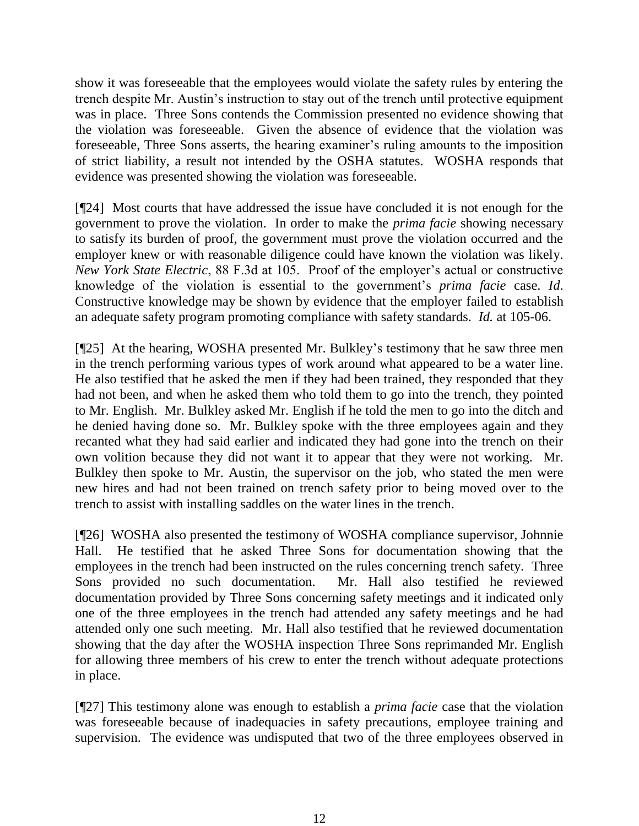show it was foreseeable that the employees would violate the safety rules by entering the trench despite Mr. Austin's instruction to stay out of the trench until protective equipment was in place. Three Sons contends the Commission presented no evidence showing that the violation was foreseeable. Given the absence of evidence that the violation was foreseeable, Three Sons asserts, the hearing examiner's ruling amounts to the imposition of strict liability, a result not intended by the OSHA statutes. WOSHA responds that evidence was presented showing the violation was foreseeable.

[¶24] Most courts that have addressed the issue have concluded it is not enough for the government to prove the violation. In order to make the *prima facie* showing necessary to satisfy its burden of proof, the government must prove the violation occurred and the employer knew or with reasonable diligence could have known the violation was likely. *New York State Electric*, 88 F.3d at 105. Proof of the employer's actual or constructive knowledge of the violation is essential to the government's *prima facie* case. *Id*. Constructive knowledge may be shown by evidence that the employer failed to establish an adequate safety program promoting compliance with safety standards. *Id.* at 105-06.

[¶25] At the hearing, WOSHA presented Mr. Bulkley's testimony that he saw three men in the trench performing various types of work around what appeared to be a water line. He also testified that he asked the men if they had been trained, they responded that they had not been, and when he asked them who told them to go into the trench, they pointed to Mr. English. Mr. Bulkley asked Mr. English if he told the men to go into the ditch and he denied having done so. Mr. Bulkley spoke with the three employees again and they recanted what they had said earlier and indicated they had gone into the trench on their own volition because they did not want it to appear that they were not working. Mr. Bulkley then spoke to Mr. Austin, the supervisor on the job, who stated the men were new hires and had not been trained on trench safety prior to being moved over to the trench to assist with installing saddles on the water lines in the trench.

[¶26] WOSHA also presented the testimony of WOSHA compliance supervisor, Johnnie Hall. He testified that he asked Three Sons for documentation showing that the employees in the trench had been instructed on the rules concerning trench safety. Three Sons provided no such documentation. Mr. Hall also testified he reviewed documentation provided by Three Sons concerning safety meetings and it indicated only one of the three employees in the trench had attended any safety meetings and he had attended only one such meeting. Mr. Hall also testified that he reviewed documentation showing that the day after the WOSHA inspection Three Sons reprimanded Mr. English for allowing three members of his crew to enter the trench without adequate protections in place.

[¶27] This testimony alone was enough to establish a *prima facie* case that the violation was foreseeable because of inadequacies in safety precautions, employee training and supervision. The evidence was undisputed that two of the three employees observed in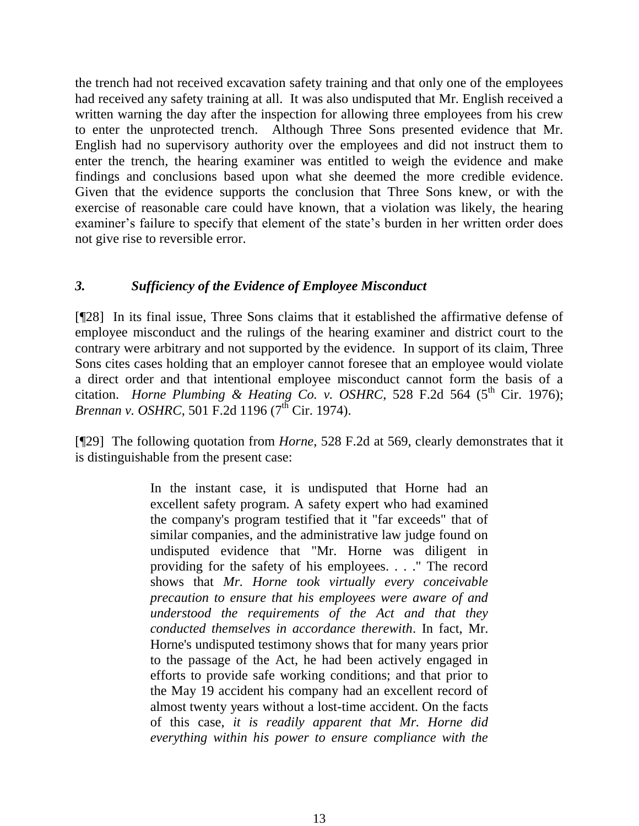the trench had not received excavation safety training and that only one of the employees had received any safety training at all. It was also undisputed that Mr. English received a written warning the day after the inspection for allowing three employees from his crew to enter the unprotected trench. Although Three Sons presented evidence that Mr. English had no supervisory authority over the employees and did not instruct them to enter the trench, the hearing examiner was entitled to weigh the evidence and make findings and conclusions based upon what she deemed the more credible evidence. Given that the evidence supports the conclusion that Three Sons knew, or with the exercise of reasonable care could have known, that a violation was likely, the hearing examiner's failure to specify that element of the state's burden in her written order does not give rise to reversible error.

### *3. Sufficiency of the Evidence of Employee Misconduct*

[¶28] In its final issue, Three Sons claims that it established the affirmative defense of employee misconduct and the rulings of the hearing examiner and district court to the contrary were arbitrary and not supported by the evidence. In support of its claim, Three Sons cites cases holding that an employer cannot foresee that an employee would violate a direct order and that intentional employee misconduct cannot form the basis of a citation. *Horne Plumbing & Heating Co. v. OSHRC*, 528 F.2d 564 (5<sup>th</sup> Cir. 1976); *Brennan v. OSHRC*, 501 F.2d 1196 (7<sup>th</sup> Cir. 1974).

[¶29] The following quotation from *Horne*, 528 F.2d at 569, clearly demonstrates that it is distinguishable from the present case:

> In the instant case, it is undisputed that Horne had an excellent safety program. A safety expert who had examined the company's program testified that it "far exceeds" that of similar companies, and the administrative law judge found on undisputed evidence that "Mr. Horne was diligent in providing for the safety of his employees. . . ." The record shows that *Mr. Horne took virtually every conceivable precaution to ensure that his employees were aware of and understood the requirements of the Act and that they conducted themselves in accordance therewith*. In fact, Mr. Horne's undisputed testimony shows that for many years prior to the passage of the Act, he had been actively engaged in efforts to provide safe working conditions; and that prior to the May 19 accident his company had an excellent record of almost twenty years without a lost-time accident. On the facts of this case, *it is readily apparent that Mr. Horne did everything within his power to ensure compliance with the*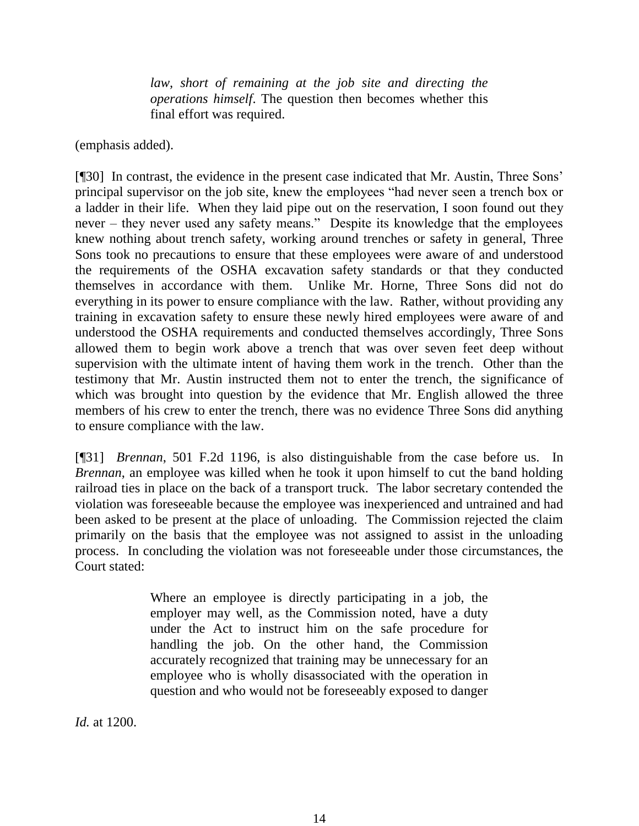*law, short of remaining at the job site and directing the operations himself*. The question then becomes whether this final effort was required.

(emphasis added).

[¶30] In contrast, the evidence in the present case indicated that Mr. Austin, Three Sons' principal supervisor on the job site, knew the employees "had never seen a trench box or a ladder in their life. When they laid pipe out on the reservation, I soon found out they never – they never used any safety means." Despite its knowledge that the employees knew nothing about trench safety, working around trenches or safety in general, Three Sons took no precautions to ensure that these employees were aware of and understood the requirements of the OSHA excavation safety standards or that they conducted themselves in accordance with them. Unlike Mr. Horne, Three Sons did not do everything in its power to ensure compliance with the law. Rather, without providing any training in excavation safety to ensure these newly hired employees were aware of and understood the OSHA requirements and conducted themselves accordingly, Three Sons allowed them to begin work above a trench that was over seven feet deep without supervision with the ultimate intent of having them work in the trench. Other than the testimony that Mr. Austin instructed them not to enter the trench, the significance of which was brought into question by the evidence that Mr. English allowed the three members of his crew to enter the trench, there was no evidence Three Sons did anything to ensure compliance with the law.

[¶31] *Brennan*, 501 F.2d 1196, is also distinguishable from the case before us. In *Brennan*, an employee was killed when he took it upon himself to cut the band holding railroad ties in place on the back of a transport truck. The labor secretary contended the violation was foreseeable because the employee was inexperienced and untrained and had been asked to be present at the place of unloading. The Commission rejected the claim primarily on the basis that the employee was not assigned to assist in the unloading process. In concluding the violation was not foreseeable under those circumstances, the Court stated:

> Where an employee is directly participating in a job, the employer may well, as the Commission noted, have a duty under the Act to instruct him on the safe procedure for handling the job. On the other hand, the Commission accurately recognized that training may be unnecessary for an employee who is wholly disassociated with the operation in question and who would not be foreseeably exposed to danger

*Id.* at 1200.